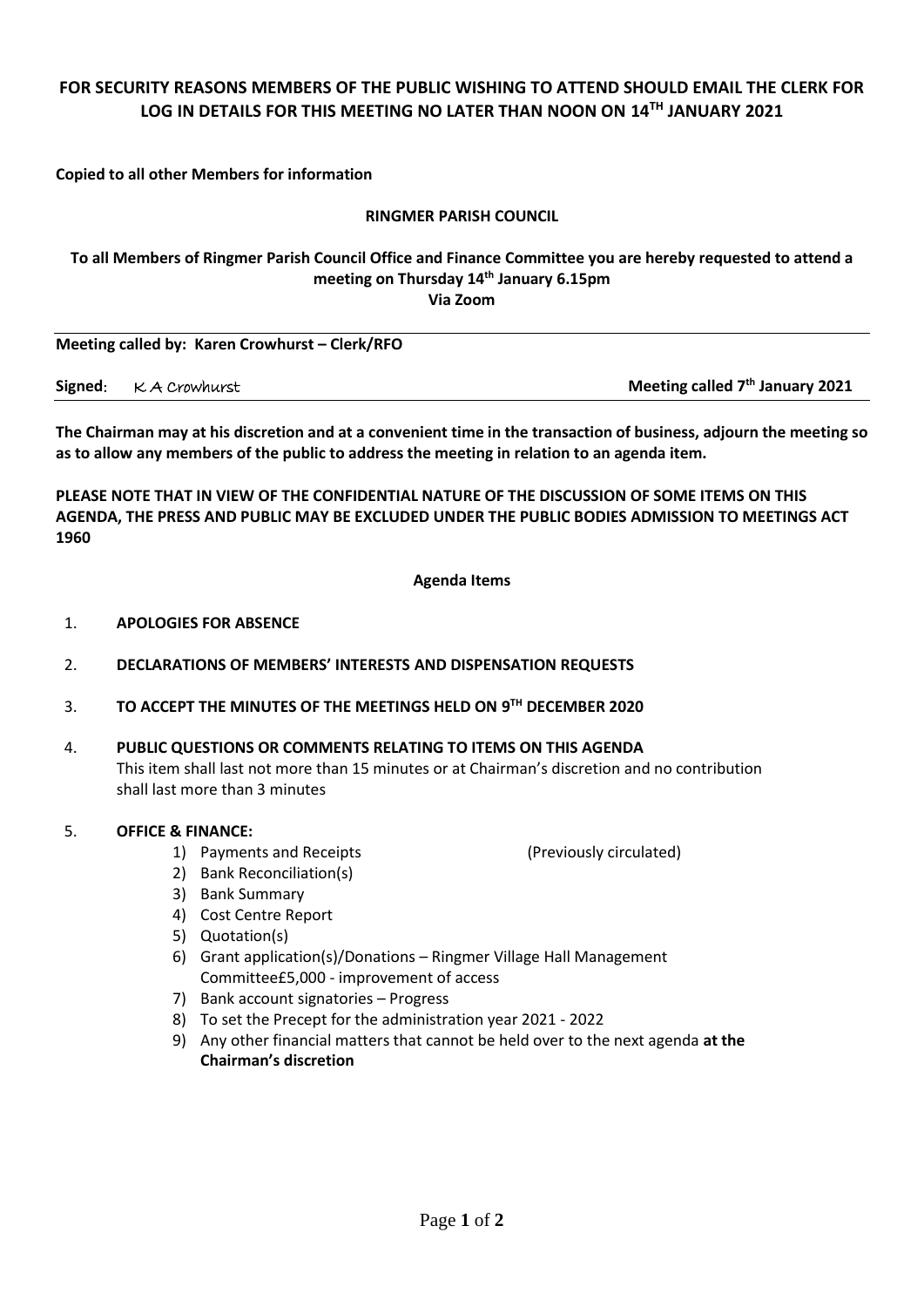# **FOR SECURITY REASONS MEMBERS OF THE PUBLIC WISHING TO ATTEND SHOULD EMAIL THE CLERK FOR LOG IN DETAILS FOR THIS MEETING NO LATER THAN NOON ON 14TH JANUARY 2021**

**Copied to all other Members for information**

#### **RINGMER PARISH COUNCIL**

#### **To all Members of Ringmer Parish Council Office and Finance Committee you are hereby requested to attend a meeting on Thursday 14th January 6.15pm Via Zoom**

**Meeting called by: Karen Crowhurst - Clerk/RFO** 

**Signed**: K A Crowhurst **Meeting called**  $7<sup>th</sup>$  **January 2021** 

**The Chairman may at his discretion and at a convenient time in the transaction of business, adjourn the meeting so as to allow any members of the public to address the meeting in relation to an agenda item.**

**PLEASE NOTE THAT IN VIEW OF THE CONFIDENTIAL NATURE OF THE DISCUSSION OF SOME ITEMS ON THIS AGENDA, THE PRESS AND PUBLIC MAY BE EXCLUDED UNDER THE PUBLIC BODIES ADMISSION TO MEETINGS ACT 1960**

**Agenda Items**

- 1. **APOLOGIES FOR ABSENCE**
- 2. **DECLARATIONS OF MEMBERS' INTERESTS AND DISPENSATION REQUESTS**
- 3. **TO ACCEPT THE MINUTES OF THE MEETINGS HELD ON 9 TH DECEMBER 2020**
- 4. **PUBLIC QUESTIONS OR COMMENTS RELATING TO ITEMS ON THIS AGENDA** This item shall last not more than 15 minutes or at Chairman's discretion and no contribution shall last more than 3 minutes

#### 5. **OFFICE & FINANCE:**

- 1) Payments and Receipts (Previously circulated)
- 2) Bank Reconciliation(s)
- 3) Bank Summary
- 4) Cost Centre Report
- 5) Quotation(s)
- 6) Grant application(s)/Donations Ringmer Village Hall Management Committee£5,000 - improvement of access
- 7) Bank account signatories Progress
- 8) To set the Precept for the administration year 2021 2022
- 9) Any other financial matters that cannot be held over to the next agenda **at the Chairman's discretion**